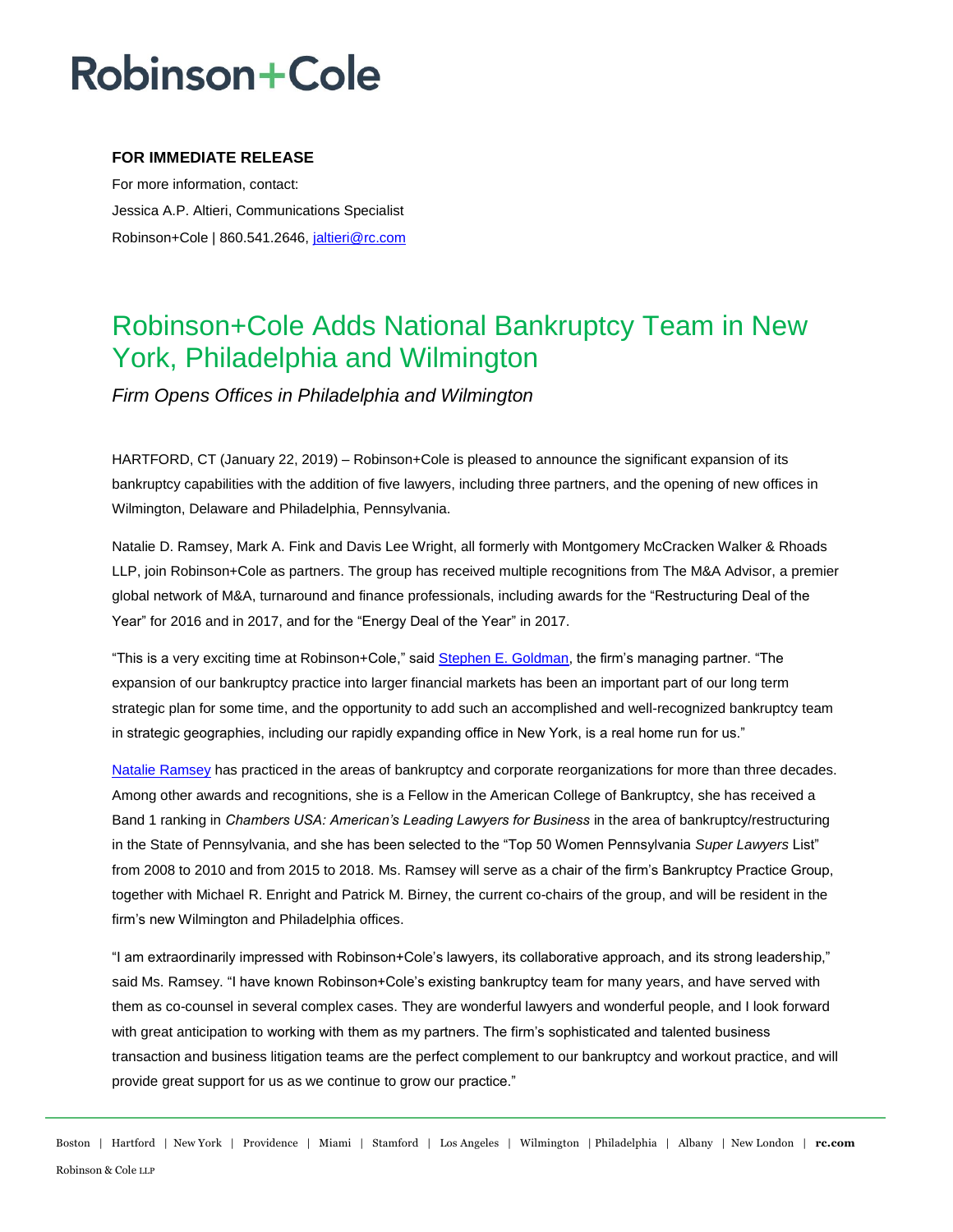## **Robinson+Cole**

### **FOR IMMEDIATE RELEASE**

For more information, contact: Jessica A.P. Altieri, Communications Specialist Robinson+Cole | 860.541.2646, [jaltieri@rc.com](mailto:jaltieri@rc.com)

### Robinson+Cole Adds National Bankruptcy Team in New York, Philadelphia and Wilmington

*Firm Opens Offices in Philadelphia and Wilmington*

HARTFORD, CT (January 22, 2019) – Robinson+Cole is pleased to announce the significant expansion of its bankruptcy capabilities with the addition of five lawyers, including three partners, and the opening of new offices in Wilmington, Delaware and Philadelphia, Pennsylvania.

Natalie D. Ramsey, Mark A. Fink and Davis Lee Wright, all formerly with Montgomery McCracken Walker & Rhoads LLP, join Robinson+Cole as partners. The group has received multiple recognitions from The M&A Advisor, a premier global network of M&A, turnaround and finance professionals, including awards for the "Restructuring Deal of the Year" for 2016 and in 2017, and for the "Energy Deal of the Year" in 2017.

"This is a very exciting time at Robinson+Cole," said [Stephen E. Goldman,](http://www.rc.com/people/StephenEGoldman.cfm) the firm's managing partner. "The expansion of our bankruptcy practice into larger financial markets has been an important part of our long term strategic plan for some time, and the opportunity to add such an accomplished and well-recognized bankruptcy team in strategic geographies, including our rapidly expanding office in New York, is a real home run for us."

[Natalie Ramsey](http://www.rc.com/people/NatalieDRamsey.cfm) has practiced in the areas of bankruptcy and corporate reorganizations for more than three decades. Among other awards and recognitions, she is a Fellow in the American College of Bankruptcy, she has received a Band 1 ranking in *Chambers USA: American's Leading Lawyers for Business* in the area of bankruptcy/restructuring in the State of Pennsylvania, and she has been selected to the "Top 50 Women Pennsylvania *Super Lawyers* List" from 2008 to 2010 and from 2015 to 2018. Ms. Ramsey will serve as a chair of the firm's Bankruptcy Practice Group, together with Michael R. Enright and Patrick M. Birney, the current co-chairs of the group, and will be resident in the firm's new Wilmington and Philadelphia offices.

"I am extraordinarily impressed with Robinson+Cole's lawyers, its collaborative approach, and its strong leadership," said Ms. Ramsey. "I have known Robinson+Cole's existing bankruptcy team for many years, and have served with them as co-counsel in several complex cases. They are wonderful lawyers and wonderful people, and I look forward with great anticipation to working with them as my partners. The firm's sophisticated and talented business transaction and business litigation teams are the perfect complement to our bankruptcy and workout practice, and will provide great support for us as we continue to grow our practice."

Boston | Hartford | New York | Providence | Miami | Stamford | Los Angeles | Wilmington | Philadelphia | Albany | New London | **rc.com** Robinson & Cole LLP